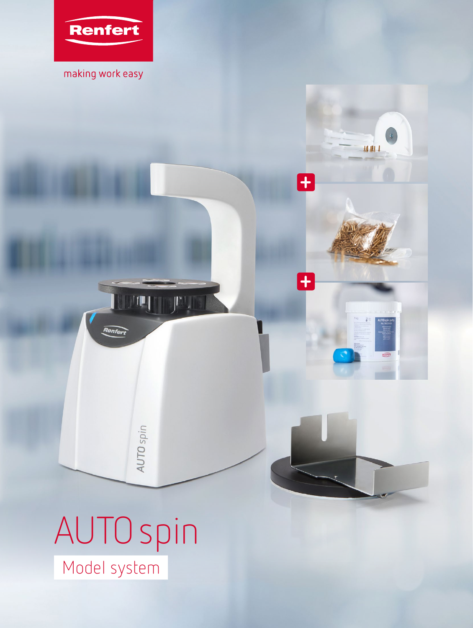

making work easy

**+**

 $\bullet$ 

M MA A

**+**

# AUTOspin Model system

AUTO spin

<u>l jej je</u>

Renfert